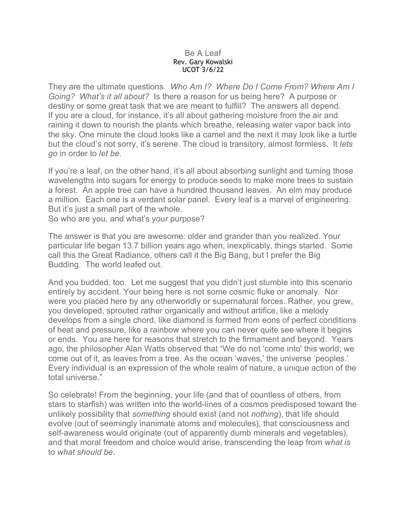## Be A Leaf Rev. Gary Kowalski UCOT 3/6/22

They are the ultimate questions. *Who Am I? Where Do I Come From? Where Am I Going? What's it all about?* Is there a reason for us being here? A purpose or destiny or some great task that we are meant to fulfill? The answers all depend. If you are a cloud, for instance, it's all about gathering moisture from the air and raining it down to nourish the plants which breathe, releasing water vapor back into the sky. One minute the cloud looks like a camel and the next it may look like a turtle but the cloud's not sorry, it's serene. The cloud is transitory, almost formless. It *lets go* in order to *let be.*

If you're a leaf, on the other hand, it's all about absorbing sunlight and turning those wavelengths into sugars for energy to produce seeds to make more trees to sustain a forest. An apple tree can have a hundred thousand leaves. An elm may produce a million. Each one is a verdant solar panel. Every leaf is a marvel of engineering. But it's just a small part of the whole.

So who are you, and what's your purpose?

The answer is that you are awesome: older and grander than you realized. Your particular life began 13.7 billion years ago when, inexplicably, things started. Some call this the Great Radiance, others call it the Big Bang, but I prefer the Big Budding. The world leafed out.

And you budded, too. Let me suggest that you didn't just stumble into this scenario entirely by accident. Your being here is not some cosmic fluke or anomaly. Nor were you placed here by any otherworldly or supernatural forces. Rather, you grew, you developed, sprouted rather organically and without artifice, like a melody develops from a single chord, like diamond is formed from eons of perfect conditions of heat and pressure, like a rainbow where you can never quite see where it begins or ends. You are here for reasons that stretch to the firmament and beyond. Years ago, the philosopher Alan Watts observed that "We do not 'come into' this world; we come out of it, as leaves from a tree. As the ocean 'waves,' the universe 'peoples.' Every individual is an expression of the whole realm of nature, a unique action of the total universe."

So celebrate! From the beginning, your life (and that of countless of others, from stars to starfish) was written into the world-lines of a cosmos predisposed toward the unlikely possibility that *something* should exist (and not *nothing*), that life should evolve (out of seemingly inanimate atoms and molecules), that consciousness and self-awareness would originate (out of apparently dumb minerals and vegetables), and that moral freedom and choice would arise, transcending the leap from *what is* to *what should be.*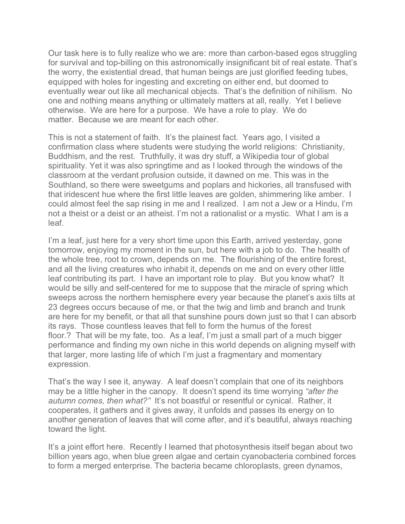Our task here is to fully realize who we are: more than carbon-based egos struggling for survival and top-billing on this astronomically insignificant bit of real estate. That's the worry, the existential dread, that human beings are just glorified feeding tubes, equipped with holes for ingesting and excreting on either end, but doomed to eventually wear out like all mechanical objects. That's the definition of nihilism. No one and nothing means anything or ultimately matters at all, really. Yet I believe otherwise. We are here for a purpose. We have a role to play. We do matter. Because we are meant for each other.

This is not a statement of faith. It's the plainest fact. Years ago, I visited a confirmation class where students were studying the world religions: Christianity, Buddhism, and the rest. Truthfully, it was dry stuff, a Wikipedia tour of global spirituality. Yet it was also springtime and as I looked through the windows of the classroom at the verdant profusion outside, it dawned on me. This was in the Southland, so there were sweetgums and poplars and hickories, all transfused with that iridescent hue where the first little leaves are golden, shimmering like amber. I could almost feel the sap rising in me and I realized. I am not a Jew or a Hindu, I'm not a theist or a deist or an atheist. I'm not a rationalist or a mystic. What I am is a leaf.

I'm a leaf, just here for a very short time upon this Earth, arrived yesterday, gone tomorrow, enjoying my moment in the sun, but here with a job to do. The health of the whole tree, root to crown, depends on me. The flourishing of the entire forest, and all the living creatures who inhabit it, depends on me and on every other little leaf contributing its part. I have an important role to play. But you know what? It would be silly and self-centered for me to suppose that the miracle of spring which sweeps across the northern hemisphere every year because the planet's axis tilts at 23 degrees occurs because of me, or that the twig and limb and branch and trunk are here for my benefit, or that all that sunshine pours down just so that I can absorb its rays. Those countless leaves that fell to form the humus of the forest floor.? That will be my fate, too. As a leaf, I'm just a small part of a much bigger performance and finding my own niche in this world depends on aligning myself with that larger, more lasting life of which I'm just a fragmentary and momentary expression.

That's the way I see it, anyway. A leaf doesn't complain that one of its neighbors may be a little higher in the canopy. It doesn't spend its time worrying *"after the autumn comes, then what?"* It's not boastful or resentful or cynical. Rather, it cooperates, it gathers and it gives away, it unfolds and passes its energy on to another generation of leaves that will come after, and it's beautiful, always reaching toward the light.

It's a joint effort here. Recently I learned that photosynthesis itself began about two billion years ago, when blue green algae and certain cyanobacteria combined forces to form a merged enterprise. The bacteria became chloroplasts, green dynamos,